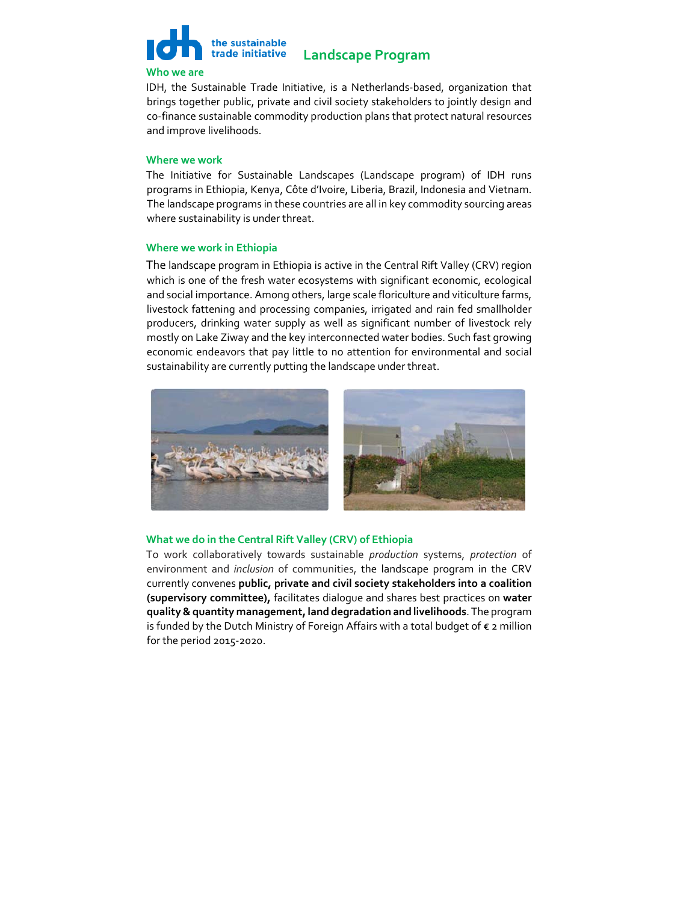

#### **Who we are**

IDH, the Sustainable Trade Initiative, is a Netherlands‐based, organization that brings together public, private and civil society stakeholders to jointly design and co-finance sustainable commodity production plans that protect natural resources and improve livelihoods.

# **Where we work**

The Initiative for Sustainable Landscapes (Landscape program) of IDH runs programs in Ethiopia, Kenya, Côte d'Ivoire, Liberia, Brazil, Indonesia and Vietnam. The landscape programs in these countries are all in key commodity sourcing areas where sustainability is under threat.

### **Where we work in Ethiopia**

The landscape program in Ethiopia is active in the Central Rift Valley (CRV) region which is one of the fresh water ecosystems with significant economic, ecological and social importance. Among others, large scale floriculture and viticulture farms, livestock fattening and processing companies, irrigated and rain fed smallholder producers, drinking water supply as well as significant number of livestock rely mostly on Lake Ziway and the key interconnected water bodies. Such fast growing economic endeavors that pay little to no attention for environmental and social sustainability are currently putting the landscape under threat.



# **What we do in the Central Rift Valley (CRV) of Ethiopia**

To work collaboratively towards sustainable *production* systems, *protection* of environment and *inclusion* of communities, the landscape program in the CRV currently convenes **public, private and civil society stakeholders into a coalition (supervisory committee),** facilitates dialogue and shares best practices on **water quality&quantity management,land degradation and livelihoods**. The program is funded by the Dutch Ministry of Foreign Affairs with a total budget of € 2 million for the period 2015‐2020.